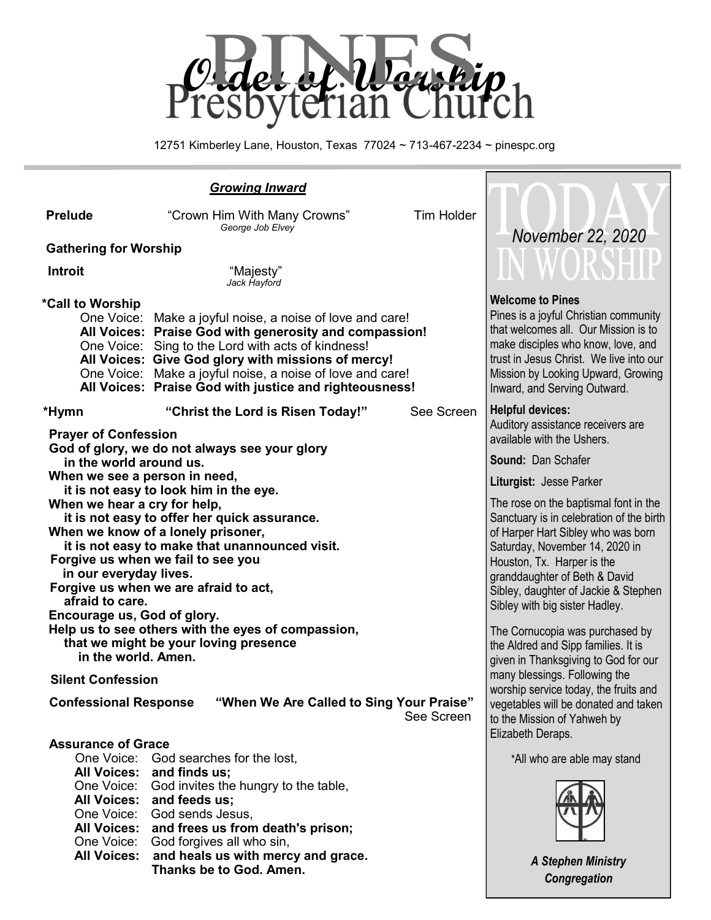

12751 Kimberley Lane, Houston, Texas 77024 ~ 713-467-2234 ~ pinespc.org

| <b>Prelude</b>                                                                                                             | <b>Tim Holder</b><br>"Crown Him With Many Crowns"<br>George Job Elvey                                                                                                                                                                                                                                                                                  |                                                                                                                                                                                                                                                                 |
|----------------------------------------------------------------------------------------------------------------------------|--------------------------------------------------------------------------------------------------------------------------------------------------------------------------------------------------------------------------------------------------------------------------------------------------------------------------------------------------------|-----------------------------------------------------------------------------------------------------------------------------------------------------------------------------------------------------------------------------------------------------------------|
| <b>Gathering for Worship</b>                                                                                               | November 22, 2020                                                                                                                                                                                                                                                                                                                                      |                                                                                                                                                                                                                                                                 |
|                                                                                                                            |                                                                                                                                                                                                                                                                                                                                                        | WORSHI                                                                                                                                                                                                                                                          |
| <b>Introit</b>                                                                                                             | "Majesty"<br>Jack Hayford                                                                                                                                                                                                                                                                                                                              |                                                                                                                                                                                                                                                                 |
| *Call to Worship                                                                                                           | One Voice: Make a joyful noise, a noise of love and care!<br>All Voices: Praise God with generosity and compassion!<br>One Voice: Sing to the Lord with acts of kindness!<br>All Voices: Give God glory with missions of mercy!<br>One Voice: Make a joyful noise, a noise of love and care!<br>All Voices: Praise God with justice and righteousness! | <b>Welcome to Pines</b><br>Pines is a joyful Christian community<br>that welcomes all. Our Mission is to<br>make disciples who know, love, and<br>trust in Jesus Christ. We live into our<br>Mission by Looking Upward, Growing<br>Inward, and Serving Outward. |
| *Hymn<br><b>Prayer of Confession</b>                                                                                       | <b>Helpful devices:</b><br>Auditory assistance receivers are<br>available with the Ushers.                                                                                                                                                                                                                                                             |                                                                                                                                                                                                                                                                 |
| God of glory, we do not always see your glory<br>in the world around us.                                                   | <b>Sound: Dan Schafer</b>                                                                                                                                                                                                                                                                                                                              |                                                                                                                                                                                                                                                                 |
| When we see a person in need,                                                                                              | it is not easy to look him in the eye.                                                                                                                                                                                                                                                                                                                 | Liturgist: Jesse Parker                                                                                                                                                                                                                                         |
| When we hear a cry for help,<br>it is not easy to offer her quick assurance.                                               | The rose on the baptismal font in the<br>Sanctuary is in celebration of the birth                                                                                                                                                                                                                                                                      |                                                                                                                                                                                                                                                                 |
| When we know of a lonely prisoner,<br>it is not easy to make that unannounced visit.<br>Forgive us when we fail to see you | of Harper Hart Sibley who was born<br>Saturday, November 14, 2020 in                                                                                                                                                                                                                                                                                   |                                                                                                                                                                                                                                                                 |
| in our everyday lives.                                                                                                     |                                                                                                                                                                                                                                                                                                                                                        | Houston, Tx. Harper is the<br>granddaughter of Beth & David                                                                                                                                                                                                     |
| afraid to care.                                                                                                            | Forgive us when we are afraid to act,                                                                                                                                                                                                                                                                                                                  | Sibley, daughter of Jackie & Stephen<br>Sibley with big sister Hadley.                                                                                                                                                                                          |
| Encourage us, God of glory.                                                                                                | Help us to see others with the eyes of compassion,                                                                                                                                                                                                                                                                                                     | The Cornucopia was purchased by                                                                                                                                                                                                                                 |
|                                                                                                                            | that we might be your loving presence                                                                                                                                                                                                                                                                                                                  | the Aldred and Sipp families. It is                                                                                                                                                                                                                             |
| in the world. Amen.<br><b>Silent Confession</b>                                                                            | given in Thanksgiving to God for our<br>many blessings. Following the                                                                                                                                                                                                                                                                                  |                                                                                                                                                                                                                                                                 |
| <b>Confessional Response</b>                                                                                               | worship service today, the fruits and<br>vegetables will be donated and taken<br>to the Mission of Yahweh by<br>Elizabeth Deraps.                                                                                                                                                                                                                      |                                                                                                                                                                                                                                                                 |
| <b>Assurance of Grace</b><br>One Voice: God searches for the lost,                                                         | *All who are able may stand                                                                                                                                                                                                                                                                                                                            |                                                                                                                                                                                                                                                                 |
|                                                                                                                            | All Voices: and finds us;<br>One Voice: God invites the hungry to the table,<br>All Voices: and feeds us;<br>One Voice: God sends Jesus,<br>All Voices: and frees us from death's prison;<br>One Voice: God forgives all who sin,                                                                                                                      |                                                                                                                                                                                                                                                                 |
|                                                                                                                            | All Voices: and heals us with mercy and grace.<br>Thanks be to God. Amen.                                                                                                                                                                                                                                                                              | <b>A Stephen Ministry</b>                                                                                                                                                                                                                                       |

*Congregation*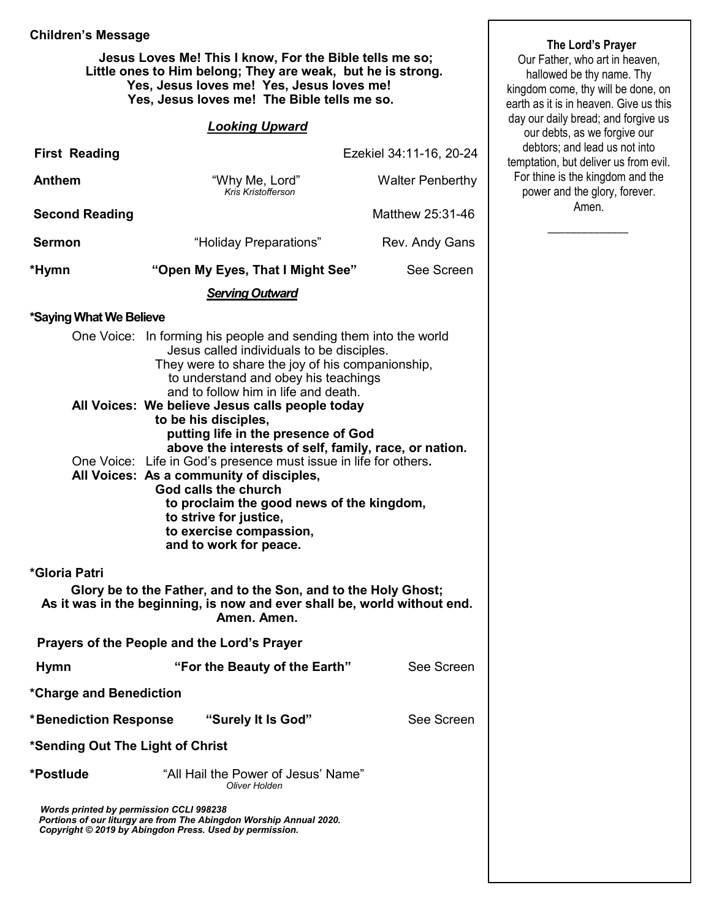#### **Children's Message**

 **Jesus Loves Me! This I know, For the Bible tells me so; Little ones to Him belong; They are weak, but he is strong. Yes, Jesus loves me! Yes, Jesus loves me! Yes, Jesus loves me! The Bible tells me so.** 

#### *Looking Upward*

| <b>First Reading</b>                                                                                                                                                                                                                                             |                                                                                                                                                                                                                                                   | Ezekiel 34:11-16, 20-24 |  |  |  |  |  |
|------------------------------------------------------------------------------------------------------------------------------------------------------------------------------------------------------------------------------------------------------------------|---------------------------------------------------------------------------------------------------------------------------------------------------------------------------------------------------------------------------------------------------|-------------------------|--|--|--|--|--|
| <b>Anthem</b>                                                                                                                                                                                                                                                    | "Why Me, Lord"<br>Kris Kristofferson                                                                                                                                                                                                              | <b>Walter Penberthy</b> |  |  |  |  |  |
| <b>Second Reading</b>                                                                                                                                                                                                                                            |                                                                                                                                                                                                                                                   | Matthew 25:31-46        |  |  |  |  |  |
| <b>Sermon</b>                                                                                                                                                                                                                                                    | "Holiday Preparations"                                                                                                                                                                                                                            | Rev. Andy Gans          |  |  |  |  |  |
| *Hymn                                                                                                                                                                                                                                                            | "Open My Eyes, That I Might See"                                                                                                                                                                                                                  | See Screen              |  |  |  |  |  |
|                                                                                                                                                                                                                                                                  | <b>Serving Outward</b>                                                                                                                                                                                                                            |                         |  |  |  |  |  |
| *Saying What We Believe                                                                                                                                                                                                                                          |                                                                                                                                                                                                                                                   |                         |  |  |  |  |  |
|                                                                                                                                                                                                                                                                  | One Voice: In forming his people and sending them into the world<br>Jesus called individuals to be disciples.<br>They were to share the joy of his companionship,<br>to understand and obey his teachings<br>and to follow him in life and death. |                         |  |  |  |  |  |
|                                                                                                                                                                                                                                                                  | All Voices: We believe Jesus calls people today<br>to be his disciples,<br>putting life in the presence of God<br>above the interests of self, family, race, or nation.                                                                           |                         |  |  |  |  |  |
| One Voice: Life in God's presence must issue in life for others.<br>All Voices: As a community of disciples,<br>God calls the church<br>to proclaim the good news of the kingdom,<br>to strive for justice,<br>to exercise compassion,<br>and to work for peace. |                                                                                                                                                                                                                                                   |                         |  |  |  |  |  |
| *Gloria Patri                                                                                                                                                                                                                                                    |                                                                                                                                                                                                                                                   |                         |  |  |  |  |  |
|                                                                                                                                                                                                                                                                  | Glory be to the Father, and to the Son, and to the Holy Ghost;<br>As it was in the beginning, is now and ever shall be, world without end.<br>Amen. Amen.                                                                                         |                         |  |  |  |  |  |
|                                                                                                                                                                                                                                                                  | Prayers of the People and the Lord's Prayer                                                                                                                                                                                                       |                         |  |  |  |  |  |
| <b>Hymn</b>                                                                                                                                                                                                                                                      | "For the Beauty of the Earth"                                                                                                                                                                                                                     | See Screen              |  |  |  |  |  |
| *Charge and Benediction                                                                                                                                                                                                                                          |                                                                                                                                                                                                                                                   |                         |  |  |  |  |  |
| *Benediction Response                                                                                                                                                                                                                                            | "Surely It Is God"                                                                                                                                                                                                                                | See Screen              |  |  |  |  |  |
| *Sending Out The Light of Christ                                                                                                                                                                                                                                 |                                                                                                                                                                                                                                                   |                         |  |  |  |  |  |
| *Postlude                                                                                                                                                                                                                                                        | "All Hail the Power of Jesus' Name"<br>Oliver Holden                                                                                                                                                                                              |                         |  |  |  |  |  |
| Words printed by permission CCLI 998238                                                                                                                                                                                                                          | Portions of our liturgy are from The Abingdon Worship Annual 2020.<br>Copyright © 2019 by Abingdon Press. Used by permission.                                                                                                                     |                         |  |  |  |  |  |

**The Lord's Prayer**

Our Father, who art in heaven, hallowed be thy name. Thy kingdom come, thy will be done, on earth as it is in heaven. Give us this day our daily bread; and forgive us our debts, as we forgive our debtors; and lead us not into temptation, but deliver us from evil. For thine is the kingdom and the power and the glory, forever. Amen.

 $\overline{\phantom{a}}$  ,  $\overline{\phantom{a}}$  ,  $\overline{\phantom{a}}$  ,  $\overline{\phantom{a}}$  ,  $\overline{\phantom{a}}$  ,  $\overline{\phantom{a}}$  ,  $\overline{\phantom{a}}$  ,  $\overline{\phantom{a}}$  ,  $\overline{\phantom{a}}$  ,  $\overline{\phantom{a}}$  ,  $\overline{\phantom{a}}$  ,  $\overline{\phantom{a}}$  ,  $\overline{\phantom{a}}$  ,  $\overline{\phantom{a}}$  ,  $\overline{\phantom{a}}$  ,  $\overline{\phantom{a}}$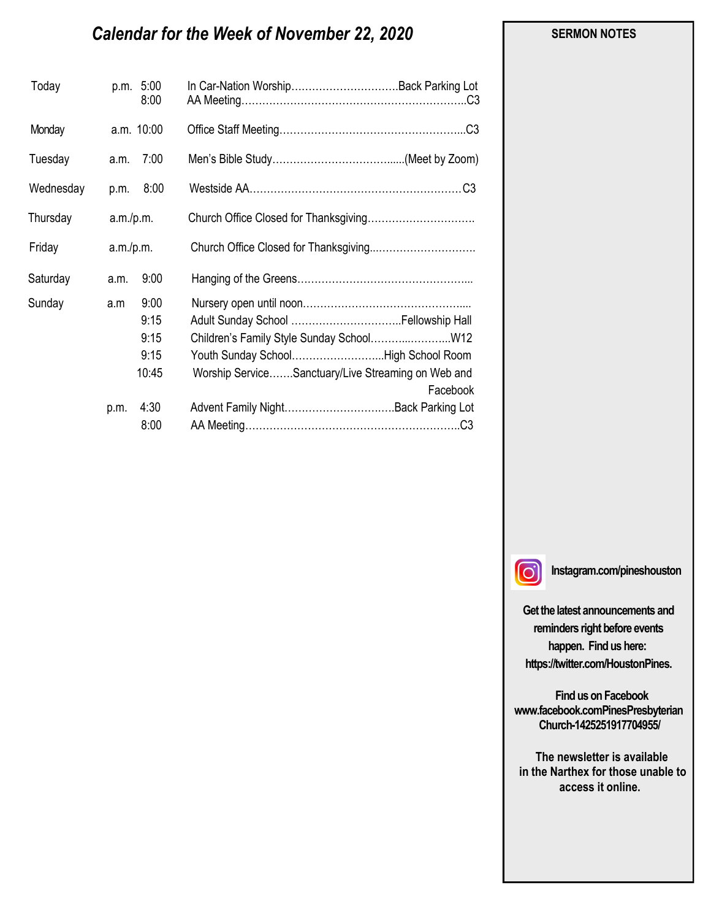# *Calendar for the Week of November 22, 2020*

| Today     |           | p.m. 5:00<br>8:00 | In Car-Nation WorshipBack Parking Lot              |          |
|-----------|-----------|-------------------|----------------------------------------------------|----------|
| Monday    |           | a.m. 10:00        |                                                    |          |
| Tuesday   | a.m.      | 7:00              |                                                    |          |
| Wednesday |           | p.m. 8:00         |                                                    |          |
| Thursday  |           | a.m./p.m.         |                                                    |          |
| Friday    | a.m./p.m. |                   |                                                    |          |
| Saturday  | a.m.      | 9:00              |                                                    |          |
| Sunday    | a.m       | 9:00              |                                                    |          |
|           |           | 9:15              |                                                    |          |
|           |           | 9:15              |                                                    |          |
|           |           | 9:15              | Youth Sunday SchoolHigh School Room                |          |
|           |           | 10:45             | Worship ServiceSanctuary/Live Streaming on Web and |          |
|           |           |                   |                                                    | Facebook |
|           | p.m.      | 4:30              |                                                    |          |
|           |           | 8:00              |                                                    |          |

#### **SERMON NOTES**

 $\lbrack \odot \rbrack$ 

**Instagram.com/pineshouston**

**Get the latest announcements and reminders right before events happen. Find us here: https://twitter.com/HoustonPines.** 

 **Find us on Facebook www.facebook.comPinesPresbyterian Church-1425251917704955/**

 **The newsletter is available in the Narthex for those unable to access it online.**